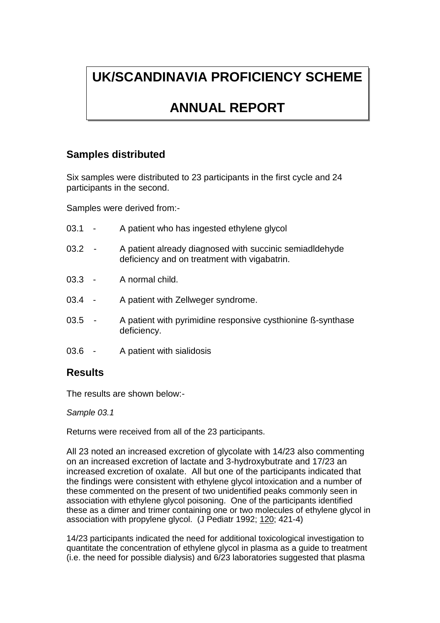# **UK/SCANDINAVIA PROFICIENCY SCHEME**

## **ANNUAL REPORT**

### **Samples distributed**

Six samples were distributed to 23 participants in the first cycle and 24 participants in the second.

Samples were derived from:-

| 03.1     | $\sim$ $-$ | A patient who has ingested ethylene glycol                                                              |
|----------|------------|---------------------------------------------------------------------------------------------------------|
| 03.2     |            | A patient already diagnosed with succinic semiadidehyde<br>deficiency and on treatment with vigabatrin. |
| $03.3 -$ |            | A normal child.                                                                                         |
| 03.4     |            | A patient with Zellweger syndrome.                                                                      |
| 03.5     | $\sim$ $-$ | A patient with pyrimidine responsive cysthionine B-synthase<br>deficiency.                              |
| 03.6     |            | A patient with sialidosis                                                                               |

### **Results**

The results are shown below:-

*Sample 03.1*

Returns were received from all of the 23 participants.

All 23 noted an increased excretion of glycolate with 14/23 also commenting on an increased excretion of lactate and 3-hydroxybutrate and 17/23 an increased excretion of oxalate. All but one of the participants indicated that the findings were consistent with ethylene glycol intoxication and a number of these commented on the present of two unidentified peaks commonly seen in association with ethylene glycol poisoning. One of the participants identified these as a dimer and trimer containing one or two molecules of ethylene glycol in association with propylene glycol. (J Pediatr 1992; 120; 421-4)

14/23 participants indicated the need for additional toxicological investigation to quantitate the concentration of ethylene glycol in plasma as a guide to treatment (i.e. the need for possible dialysis) and 6/23 laboratories suggested that plasma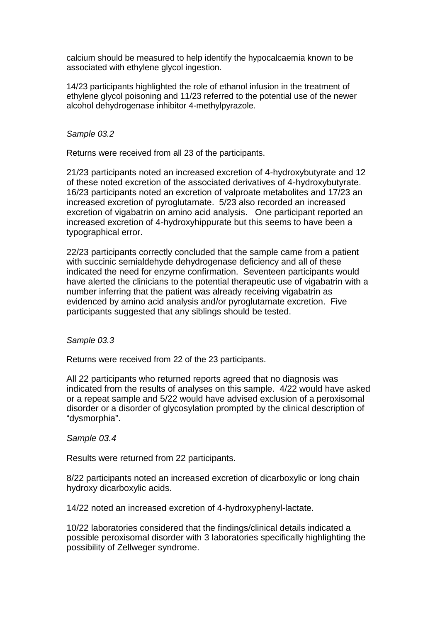calcium should be measured to help identify the hypocalcaemia known to be associated with ethylene glycol ingestion.

14/23 participants highlighted the role of ethanol infusion in the treatment of ethylene glycol poisoning and 11/23 referred to the potential use of the newer alcohol dehydrogenase inhibitor 4-methylpyrazole.

#### *Sample 03.2*

Returns were received from all 23 of the participants.

21/23 participants noted an increased excretion of 4-hydroxybutyrate and 12 of these noted excretion of the associated derivatives of 4-hydroxybutyrate. 16/23 participants noted an excretion of valproate metabolites and 17/23 an increased excretion of pyroglutamate. 5/23 also recorded an increased excretion of vigabatrin on amino acid analysis. One participant reported an increased excretion of 4-hydroxyhippurate but this seems to have been a typographical error.

22/23 participants correctly concluded that the sample came from a patient with succinic semialdehyde dehydrogenase deficiency and all of these indicated the need for enzyme confirmation. Seventeen participants would have alerted the clinicians to the potential therapeutic use of vigabatrin with a number inferring that the patient was already receiving vigabatrin as evidenced by amino acid analysis and/or pyroglutamate excretion. Five participants suggested that any siblings should be tested.

*Sample 03.3*

Returns were received from 22 of the 23 participants.

All 22 participants who returned reports agreed that no diagnosis was indicated from the results of analyses on this sample. 4/22 would have asked or a repeat sample and 5/22 would have advised exclusion of a peroxisomal disorder or a disorder of glycosylation prompted by the clinical description of "dysmorphia".

#### *Sample 03.4*

Results were returned from 22 participants.

8/22 participants noted an increased excretion of dicarboxylic or long chain hydroxy dicarboxylic acids.

14/22 noted an increased excretion of 4-hydroxyphenyl-lactate.

10/22 laboratories considered that the findings/clinical details indicated a possible peroxisomal disorder with 3 laboratories specifically highlighting the possibility of Zellweger syndrome.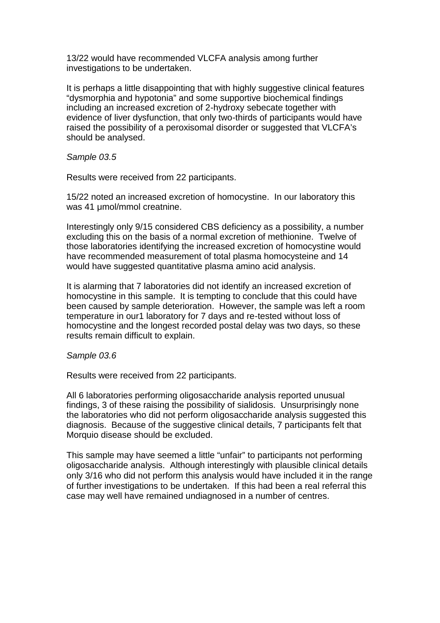13/22 would have recommended VLCFA analysis among further investigations to be undertaken.

It is perhaps a little disappointing that with highly suggestive clinical features "dysmorphia and hypotonia" and some supportive biochemical findings including an increased excretion of 2-hydroxy sebecate together with evidence of liver dysfunction, that only two-thirds of participants would have raised the possibility of a peroxisomal disorder or suggested that VLCFA's should be analysed.

*Sample 03.5*

Results were received from 22 participants.

15/22 noted an increased excretion of homocystine. In our laboratory this was 41 μmol/mmol creatnine.

Interestingly only 9/15 considered CBS deficiency as a possibility, a number excluding this on the basis of a normal excretion of methionine. Twelve of those laboratories identifying the increased excretion of homocystine would have recommended measurement of total plasma homocysteine and 14 would have suggested quantitative plasma amino acid analysis.

It is alarming that 7 laboratories did not identify an increased excretion of homocystine in this sample. It is tempting to conclude that this could have been caused by sample deterioration. However, the sample was left a room temperature in our1 laboratory for 7 days and re-tested without loss of homocystine and the longest recorded postal delay was two days, so these results remain difficult to explain.

#### *Sample 03.6*

Results were received from 22 participants.

All 6 laboratories performing oligosaccharide analysis reported unusual findings, 3 of these raising the possibility of sialidosis. Unsurprisingly none the laboratories who did not perform oligosaccharide analysis suggested this diagnosis. Because of the suggestive clinical details, 7 participants felt that Morquio disease should be excluded.

This sample may have seemed a little "unfair" to participants not performing oligosaccharide analysis. Although interestingly with plausible clinical details only 3/16 who did not perform this analysis would have included it in the range of further investigations to be undertaken. If this had been a real referral this case may well have remained undiagnosed in a number of centres.